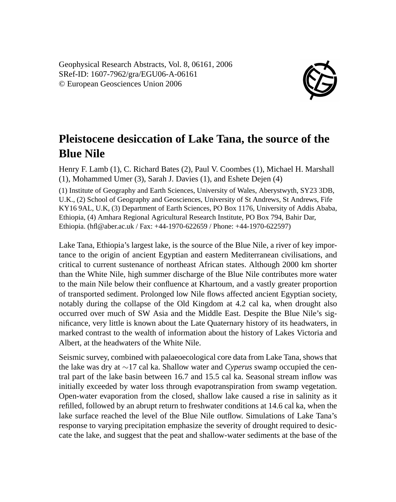Geophysical Research Abstracts, Vol. 8, 06161, 2006 SRef-ID: 1607-7962/gra/EGU06-A-06161 © European Geosciences Union 2006



## **Pleistocene desiccation of Lake Tana, the source of the Blue Nile**

Henry F. Lamb (1), C. Richard Bates (2), Paul V. Coombes (1), Michael H. Marshall (1), Mohammed Umer (3), Sarah J. Davies (1), and Eshete Dejen (4)

(1) Institute of Geography and Earth Sciences, University of Wales, Aberystwyth, SY23 3DB, U.K., (2) School of Geography and Geosciences, University of St Andrews, St Andrews, Fife KY16 9AL, U.K, (3) Department of Earth Sciences, PO Box 1176, University of Addis Ababa, Ethiopia, (4) Amhara Regional Agricultural Research Institute, PO Box 794, Bahir Dar, Ethiopia. (hfl@aber.ac.uk / Fax: +44-1970-622659 / Phone: +44-1970-622597)

Lake Tana, Ethiopia's largest lake, is the source of the Blue Nile, a river of key importance to the origin of ancient Egyptian and eastern Mediterranean civilisations, and critical to current sustenance of northeast African states. Although 2000 km shorter than the White Nile, high summer discharge of the Blue Nile contributes more water to the main Nile below their confluence at Khartoum, and a vastly greater proportion of transported sediment. Prolonged low Nile flows affected ancient Egyptian society, notably during the collapse of the Old Kingdom at 4.2 cal ka, when drought also occurred over much of SW Asia and the Middle East. Despite the Blue Nile's significance, very little is known about the Late Quaternary history of its headwaters, in marked contrast to the wealth of information about the history of Lakes Victoria and Albert, at the headwaters of the White Nile.

Seismic survey, combined with palaeoecological core data from Lake Tana, shows that the lake was dry at ∼17 cal ka. Shallow water and *Cyperus* swamp occupied the central part of the lake basin between 16.7 and 15.5 cal ka. Seasonal stream inflow was initially exceeded by water loss through evapotranspiration from swamp vegetation. Open-water evaporation from the closed, shallow lake caused a rise in salinity as it refilled, followed by an abrupt return to freshwater conditions at 14.6 cal ka, when the lake surface reached the level of the Blue Nile outflow. Simulations of Lake Tana's response to varying precipitation emphasize the severity of drought required to desiccate the lake, and suggest that the peat and shallow-water sediments at the base of the